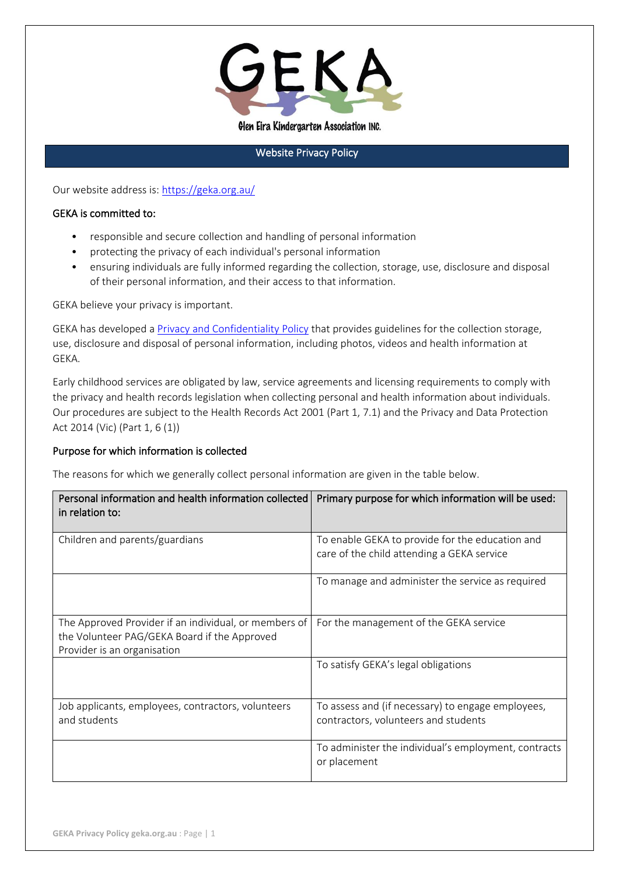

Glen Eira Kindergarten Association INC.

### Website Privacy Policy

Our website address is:<https://geka.org.au/>

#### GEKA is committed to:

- responsible and secure collection and handling of personal information
- protecting the privacy of each individual's personal information
- ensuring individuals are fully informed regarding the collection, storage, use, disclosure and disposal of their personal information, and their access to that information.

GEKA believe your privacy is important.

GEKA has developed a [Privacy and Confidentiality Policy](https://geka.org.au/policies/) that provides guidelines for the collection storage, use, disclosure and disposal of personal information, including photos, videos and health information at GEKA.

Early childhood services are obligated by law, service agreements and licensing requirements to comply with the privacy and health records legislation when collecting personal and health information about individuals. Our procedures are subject to the Health Records Act 2001 (Part 1, 7.1) and the Privacy and Data Protection Act 2014 (Vic) (Part 1, 6 (1))

#### Purpose for which information is collected

The reasons for which we generally collect personal information are given in the table below.

| Personal information and health information collected<br>in relation to:                                                             | Primary purpose for which information will be used:                                           |
|--------------------------------------------------------------------------------------------------------------------------------------|-----------------------------------------------------------------------------------------------|
| Children and parents/guardians                                                                                                       | To enable GEKA to provide for the education and<br>care of the child attending a GEKA service |
|                                                                                                                                      | To manage and administer the service as required                                              |
| The Approved Provider if an individual, or members of<br>the Volunteer PAG/GEKA Board if the Approved<br>Provider is an organisation | For the management of the GEKA service                                                        |
|                                                                                                                                      | To satisfy GEKA's legal obligations                                                           |
| Job applicants, employees, contractors, volunteers<br>and students                                                                   | To assess and (if necessary) to engage employees,<br>contractors, volunteers and students     |
|                                                                                                                                      | To administer the individual's employment, contracts<br>or placement                          |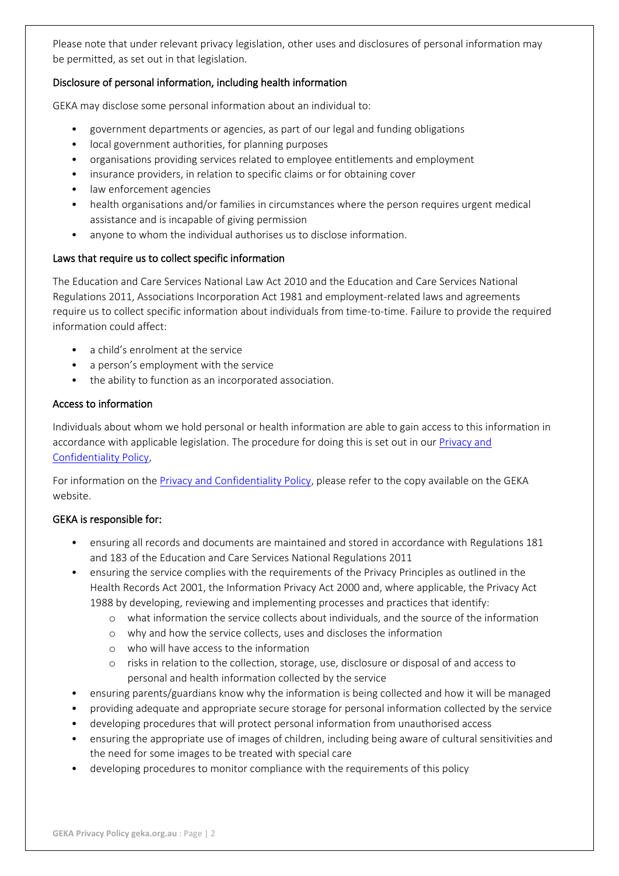Please note that under relevant privacy legislation, other uses and disclosures of personal information may be permitted, as set out in that legislation.

## Disclosure of personal information, including health information

GEKA may disclose some personal information about an individual to:

- government departments or agencies, as part of our legal and funding obligations
- local government authorities, for planning purposes
- organisations providing services related to employee entitlements and employment
- insurance providers, in relation to specific claims or for obtaining cover
- law enforcement agencies
- health organisations and/or families in circumstances where the person requires urgent medical assistance and is incapable of giving permission
- anyone to whom the individual authorises us to disclose information.

### Laws that require us to collect specific information

The Education and Care Services National Law Act 2010 and the Education and Care Services National Regulations 2011, Associations Incorporation Act 1981 and employment-related laws and agreements require us to collect specific information about individuals from time-to-time. Failure to provide the required information could affect:

- a child's enrolment at the service
- a person's employment with the service
- the ability to function as an incorporated association.

## Access to information

Individuals about whom we hold personal or health information are able to gain access to this information in accordance with applicable legislation. The procedure for doing this is set out in our Privacy and [Confidentiality Policy,](https://geka.org.au/policies/)

For information on the [Privacy and Confidentiality Policy,](https://geka.org.au/policies/) please refer to the copy available on the GEKA website.

# GEKA is responsible for:

- ensuring all records and documents are maintained and stored in accordance with Regulations 181 and 183 of the Education and Care Services National Regulations 2011
- ensuring the service complies with the requirements of the Privacy Principles as outlined in the Health Records Act 2001, the Information Privacy Act 2000 and, where applicable, the Privacy Act 1988 by developing, reviewing and implementing processes and practices that identify:
	- o what information the service collects about individuals, and the source of the information
	- o why and how the service collects, uses and discloses the information
	- o who will have access to the information
	- o risks in relation to the collection, storage, use, disclosure or disposal of and access to personal and health information collected by the service
- ensuring parents/guardians know why the information is being collected and how it will be managed
- providing adequate and appropriate secure storage for personal information collected by the service
- developing procedures that will protect personal information from unauthorised access
- ensuring the appropriate use of images of children, including being aware of cultural sensitivities and the need for some images to be treated with special care
- developing procedures to monitor compliance with the requirements of this policy